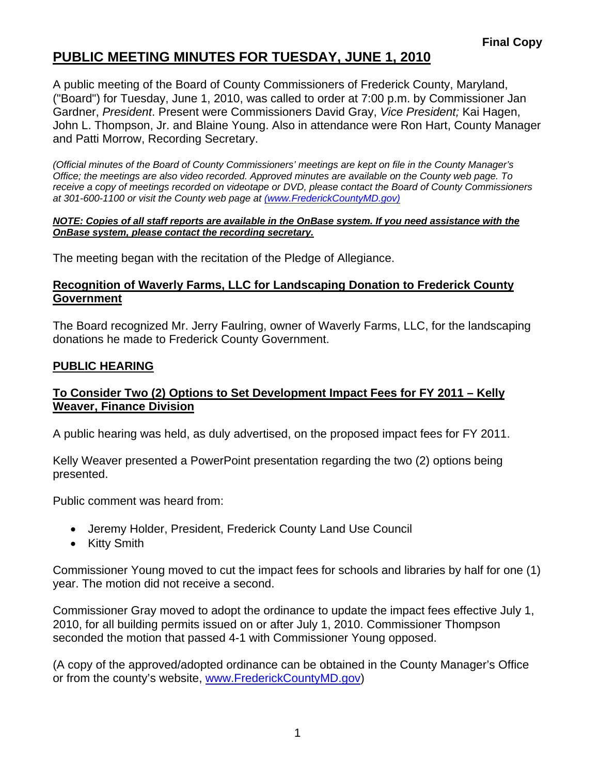## **PUBLIC MEETING MINUTES FOR TUESDAY, JUNE 1, 2010**

A public meeting of the Board of County Commissioners of Frederick County, Maryland, ("Board") for Tuesday, June 1, 2010, was called to order at 7:00 p.m. by Commissioner Jan Gardner, *President*. Present were Commissioners David Gray, *Vice President;* Kai Hagen, John L. Thompson, Jr. and Blaine Young. Also in attendance were Ron Hart, County Manager and Patti Morrow, Recording Secretary.

*(Official minutes of the Board of County Commissioners' meetings are kept on file in the County Manager's Office; the meetings are also video recorded. Approved minutes are available on the County web page. To receive a copy of meetings recorded on videotape or DVD, please contact the Board of County Commissioners at 301-600-1100 or visit the County web page at (www.FrederickCountyMD.gov)*

#### *NOTE: Copies of all staff reports are available in the OnBase system. If you need assistance with the OnBase system, please contact the recording secretary.*

The meeting began with the recitation of the Pledge of Allegiance.

#### **Recognition of Waverly Farms, LLC for Landscaping Donation to Frederick County Government**

The Board recognized Mr. Jerry Faulring, owner of Waverly Farms, LLC, for the landscaping donations he made to Frederick County Government.

#### **PUBLIC HEARING**

#### **To Consider Two (2) Options to Set Development Impact Fees for FY 2011 – Kelly Weaver, Finance Division**

A public hearing was held, as duly advertised, on the proposed impact fees for FY 2011.

Kelly Weaver presented a PowerPoint presentation regarding the two (2) options being presented.

Public comment was heard from:

- Jeremy Holder, President, Frederick County Land Use Council
- Kitty Smith

Commissioner Young moved to cut the impact fees for schools and libraries by half for one (1) year. The motion did not receive a second.

Commissioner Gray moved to adopt the ordinance to update the impact fees effective July 1, 2010, for all building permits issued on or after July 1, 2010. Commissioner Thompson seconded the motion that passed 4-1 with Commissioner Young opposed.

(A copy of the approved/adopted ordinance can be obtained in the County Manager's Office or from the county's website, [www.FrederickCountyMD.gov\)](http://www.frederickcountymd.gov/)